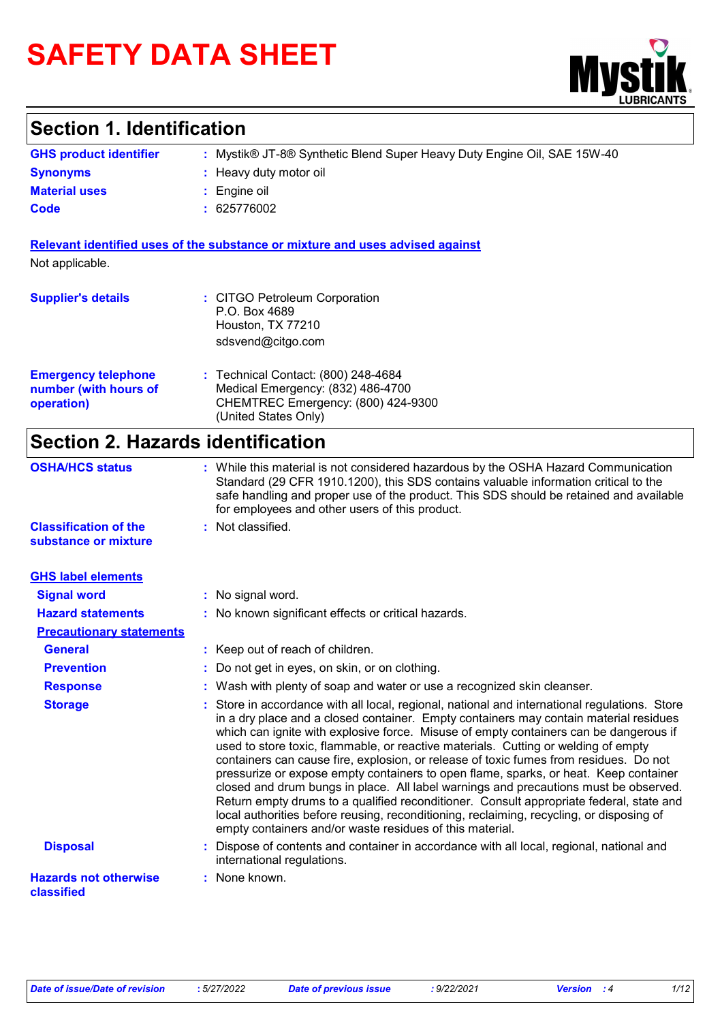# **SAFETY DATA SHEET**



## **Section 1. Identification**

| <b>GHS product identifier</b> | Mystik® JT-8® Synthetic Blend Super Heavy Duty Engine Oil, SAE 15W-40 |
|-------------------------------|-----------------------------------------------------------------------|
| <b>Synonyms</b>               | : Heavy duty motor oil                                                |
| <b>Material uses</b>          | Engine oil                                                            |
| Code                          | 625776002                                                             |

**Relevant identified uses of the substance or mixture and uses advised against** Not applicable.

| <b>Supplier's details</b>                                         | : CITGO Petroleum Corporation<br>P.O. Box 4689<br>Houston, TX 77210<br>sdsvend@citgo.com                                               |
|-------------------------------------------------------------------|----------------------------------------------------------------------------------------------------------------------------------------|
| <b>Emergency telephone</b><br>number (with hours of<br>operation) | : Technical Contact: (800) 248-4684<br>Medical Emergency: (832) 486-4700<br>CHEMTREC Emergency: (800) 424-9300<br>(United States Only) |

## **Section 2. Hazards identification**

| <b>OSHA/HCS status</b>                               | : While this material is not considered hazardous by the OSHA Hazard Communication<br>Standard (29 CFR 1910.1200), this SDS contains valuable information critical to the<br>safe handling and proper use of the product. This SDS should be retained and available<br>for employees and other users of this product.                                                                                                                                                                                                                                                                                                                                                                                                                                                                                                                                                                             |
|------------------------------------------------------|---------------------------------------------------------------------------------------------------------------------------------------------------------------------------------------------------------------------------------------------------------------------------------------------------------------------------------------------------------------------------------------------------------------------------------------------------------------------------------------------------------------------------------------------------------------------------------------------------------------------------------------------------------------------------------------------------------------------------------------------------------------------------------------------------------------------------------------------------------------------------------------------------|
| <b>Classification of the</b><br>substance or mixture | : Not classified.                                                                                                                                                                                                                                                                                                                                                                                                                                                                                                                                                                                                                                                                                                                                                                                                                                                                                 |
| <b>GHS label elements</b>                            |                                                                                                                                                                                                                                                                                                                                                                                                                                                                                                                                                                                                                                                                                                                                                                                                                                                                                                   |
| <b>Signal word</b>                                   | : No signal word.                                                                                                                                                                                                                                                                                                                                                                                                                                                                                                                                                                                                                                                                                                                                                                                                                                                                                 |
| <b>Hazard statements</b>                             | : No known significant effects or critical hazards.                                                                                                                                                                                                                                                                                                                                                                                                                                                                                                                                                                                                                                                                                                                                                                                                                                               |
| <b>Precautionary statements</b>                      |                                                                                                                                                                                                                                                                                                                                                                                                                                                                                                                                                                                                                                                                                                                                                                                                                                                                                                   |
| <b>General</b>                                       | : Keep out of reach of children.                                                                                                                                                                                                                                                                                                                                                                                                                                                                                                                                                                                                                                                                                                                                                                                                                                                                  |
| <b>Prevention</b>                                    | Do not get in eyes, on skin, or on clothing.                                                                                                                                                                                                                                                                                                                                                                                                                                                                                                                                                                                                                                                                                                                                                                                                                                                      |
| <b>Response</b>                                      | : Wash with plenty of soap and water or use a recognized skin cleanser.                                                                                                                                                                                                                                                                                                                                                                                                                                                                                                                                                                                                                                                                                                                                                                                                                           |
| <b>Storage</b>                                       | : Store in accordance with all local, regional, national and international regulations. Store<br>in a dry place and a closed container. Empty containers may contain material residues<br>which can ignite with explosive force. Misuse of empty containers can be dangerous if<br>used to store toxic, flammable, or reactive materials. Cutting or welding of empty<br>containers can cause fire, explosion, or release of toxic fumes from residues. Do not<br>pressurize or expose empty containers to open flame, sparks, or heat. Keep container<br>closed and drum bungs in place. All label warnings and precautions must be observed.<br>Return empty drums to a qualified reconditioner. Consult appropriate federal, state and<br>local authorities before reusing, reconditioning, reclaiming, recycling, or disposing of<br>empty containers and/or waste residues of this material. |
| <b>Disposal</b>                                      | : Dispose of contents and container in accordance with all local, regional, national and<br>international regulations.                                                                                                                                                                                                                                                                                                                                                                                                                                                                                                                                                                                                                                                                                                                                                                            |
| <b>Hazards not otherwise</b><br>classified           | : None known.                                                                                                                                                                                                                                                                                                                                                                                                                                                                                                                                                                                                                                                                                                                                                                                                                                                                                     |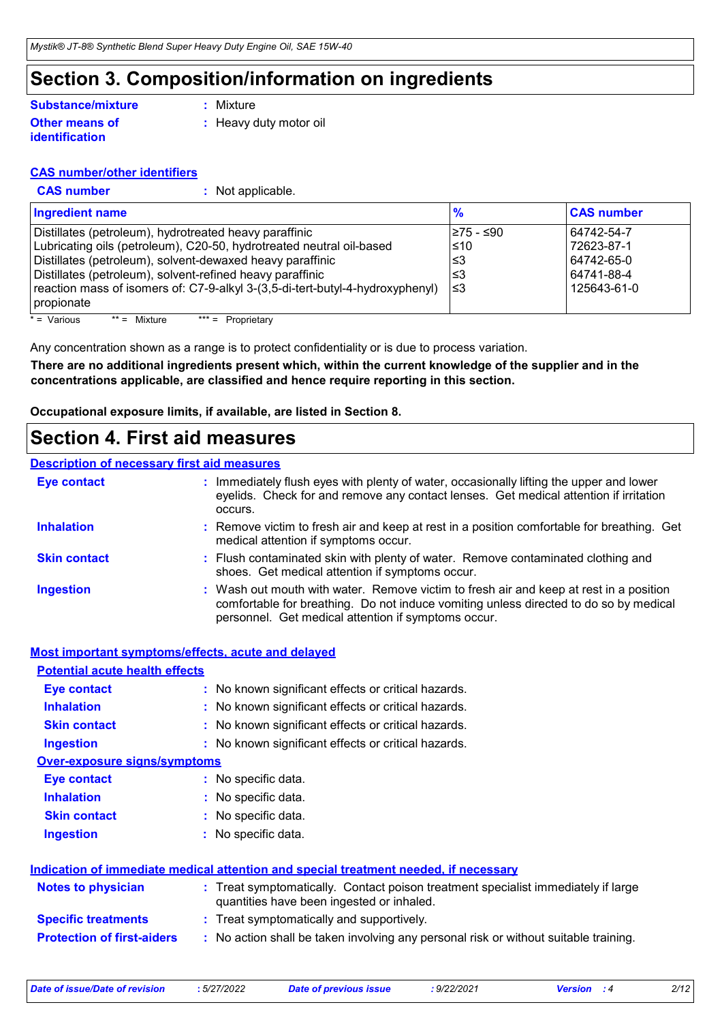### **Section 3. Composition/information on ingredients**

#### **Other means of identification Substance/mixture**

**:** Mixture

**:** Heavy duty motor oil

#### **CAS number/other identifiers**

**CAS number :** Not applicable.

| <b>Ingredient name</b>                                                                                                                                                                                                                                                                                                                                  | $\frac{9}{6}$                                | <b>CAS number</b>                                                   |
|---------------------------------------------------------------------------------------------------------------------------------------------------------------------------------------------------------------------------------------------------------------------------------------------------------------------------------------------------------|----------------------------------------------|---------------------------------------------------------------------|
| Distillates (petroleum), hydrotreated heavy paraffinic<br>Lubricating oils (petroleum), C20-50, hydrotreated neutral oil-based<br>Distillates (petroleum), solvent-dewaxed heavy paraffinic<br>Distillates (petroleum), solvent-refined heavy paraffinic<br>reaction mass of isomers of: C7-9-alkyl 3-(3,5-di-tert-butyl-4-hydroxyphenyl)<br>propionate | l≥75 - ≤90<br>$\leq 10$<br>l≤3<br>3≥ا<br>ا≥ا | 64742-54-7<br>72623-87-1<br>64742-65-0<br>64741-88-4<br>125643-61-0 |

 $* = \text{Various}$  \*\* = Mixture \*\*\* = Proprietary

Any concentration shown as a range is to protect confidentiality or is due to process variation.

**There are no additional ingredients present which, within the current knowledge of the supplier and in the concentrations applicable, are classified and hence require reporting in this section.**

**Occupational exposure limits, if available, are listed in Section 8.**

### **Section 4. First aid measures**

### **Description of necessary first aid measures**

| <b>Eye contact</b>  | : Immediately flush eyes with plenty of water, occasionally lifting the upper and lower<br>eyelids. Check for and remove any contact lenses. Get medical attention if irritation<br>occurs.                                            |
|---------------------|----------------------------------------------------------------------------------------------------------------------------------------------------------------------------------------------------------------------------------------|
| <b>Inhalation</b>   | : Remove victim to fresh air and keep at rest in a position comfortable for breathing. Get<br>medical attention if symptoms occur.                                                                                                     |
| <b>Skin contact</b> | : Flush contaminated skin with plenty of water. Remove contaminated clothing and<br>shoes. Get medical attention if symptoms occur.                                                                                                    |
| <b>Ingestion</b>    | : Wash out mouth with water. Remove victim to fresh air and keep at rest in a position<br>comfortable for breathing. Do not induce vomiting unless directed to do so by medical<br>personnel. Get medical attention if symptoms occur. |

#### **Most important symptoms/effects, acute and delayed**

| <b>Potential acute health effects</b> |                                                                                                                                |
|---------------------------------------|--------------------------------------------------------------------------------------------------------------------------------|
| Eye contact                           | : No known significant effects or critical hazards.                                                                            |
| <b>Inhalation</b>                     | : No known significant effects or critical hazards.                                                                            |
| <b>Skin contact</b>                   | : No known significant effects or critical hazards.                                                                            |
| <b>Ingestion</b>                      | : No known significant effects or critical hazards.                                                                            |
| <b>Over-exposure signs/symptoms</b>   |                                                                                                                                |
| Eye contact                           | : No specific data.                                                                                                            |
| <b>Inhalation</b>                     | : No specific data.                                                                                                            |
| <b>Skin contact</b>                   | : No specific data.                                                                                                            |
| <b>Ingestion</b>                      | : No specific data.                                                                                                            |
|                                       | Indication of immediate medical attention and special treatment needed, if necessary                                           |
| <b>Notes to physician</b>             | : Treat symptomatically. Contact poison treatment specialist immediately if large<br>quantities have been ingested or inhaled. |
| <b>Specific treatments</b>            | : Treat symptomatically and supportively.                                                                                      |
| <b>Protection of first-aiders</b>     | : No action shall be taken involving any personal risk or without suitable training.                                           |

| :5/27/2<br>Date of issue/Date of revision |  |
|-------------------------------------------|--|
|-------------------------------------------|--|

*Date of issue/Date of revision* **:** *5/27/2022 Date of previous issue : 9/22/2021 Version : 4 2/12*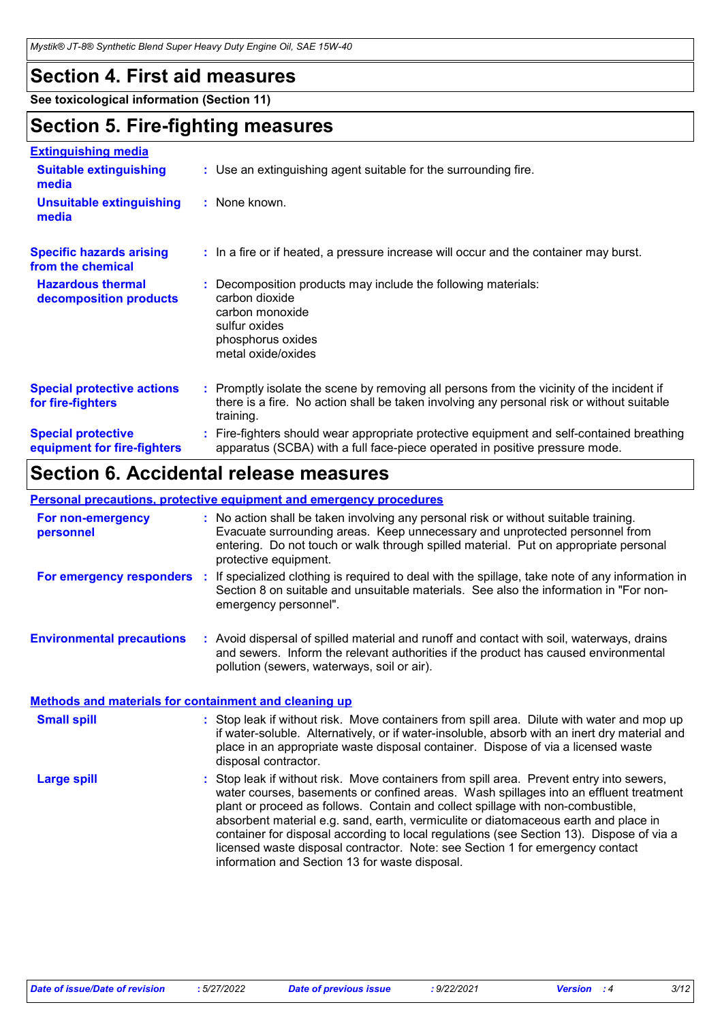### **Section 4. First aid measures**

**See toxicological information (Section 11)**

### **Section 5. Fire-fighting measures**

| <b>Extinguishing media</b>                               |                                                                                                                                                                                                     |
|----------------------------------------------------------|-----------------------------------------------------------------------------------------------------------------------------------------------------------------------------------------------------|
| <b>Suitable extinguishing</b><br>media                   | : Use an extinguishing agent suitable for the surrounding fire.                                                                                                                                     |
| <b>Unsuitable extinguishing</b><br>media                 | : None known.                                                                                                                                                                                       |
| <b>Specific hazards arising</b><br>from the chemical     | : In a fire or if heated, a pressure increase will occur and the container may burst.                                                                                                               |
| <b>Hazardous thermal</b><br>decomposition products       | Decomposition products may include the following materials:<br>carbon dioxide<br>carbon monoxide<br>sulfur oxides<br>phosphorus oxides<br>metal oxide/oxides                                        |
| <b>Special protective actions</b><br>for fire-fighters   | : Promptly isolate the scene by removing all persons from the vicinity of the incident if<br>there is a fire. No action shall be taken involving any personal risk or without suitable<br>training. |
| <b>Special protective</b><br>equipment for fire-fighters | Fire-fighters should wear appropriate protective equipment and self-contained breathing<br>apparatus (SCBA) with a full face-piece operated in positive pressure mode.                              |

### **Section 6. Accidental release measures**

#### **Personal precautions, protective equipment and emergency procedures**

|                                                              | <u>. Sioonal provaationoj protoch ro ogalphiont and omorgonoj procoaalog</u>                                                                                                                                                                                                                                                                                                                                                                                                                                                                                                               |
|--------------------------------------------------------------|--------------------------------------------------------------------------------------------------------------------------------------------------------------------------------------------------------------------------------------------------------------------------------------------------------------------------------------------------------------------------------------------------------------------------------------------------------------------------------------------------------------------------------------------------------------------------------------------|
| For non-emergency<br>personnel                               | : No action shall be taken involving any personal risk or without suitable training.<br>Evacuate surrounding areas. Keep unnecessary and unprotected personnel from<br>entering. Do not touch or walk through spilled material. Put on appropriate personal<br>protective equipment.                                                                                                                                                                                                                                                                                                       |
| For emergency responders :                                   | If specialized clothing is required to deal with the spillage, take note of any information in<br>Section 8 on suitable and unsuitable materials. See also the information in "For non-<br>emergency personnel".                                                                                                                                                                                                                                                                                                                                                                           |
| <b>Environmental precautions</b>                             | : Avoid dispersal of spilled material and runoff and contact with soil, waterways, drains<br>and sewers. Inform the relevant authorities if the product has caused environmental<br>pollution (sewers, waterways, soil or air).                                                                                                                                                                                                                                                                                                                                                            |
| <b>Methods and materials for containment and cleaning up</b> |                                                                                                                                                                                                                                                                                                                                                                                                                                                                                                                                                                                            |
| <b>Small spill</b>                                           | : Stop leak if without risk. Move containers from spill area. Dilute with water and mop up<br>if water-soluble. Alternatively, or if water-insoluble, absorb with an inert dry material and<br>place in an appropriate waste disposal container. Dispose of via a licensed waste<br>disposal contractor.                                                                                                                                                                                                                                                                                   |
| <b>Large spill</b>                                           | : Stop leak if without risk. Move containers from spill area. Prevent entry into sewers,<br>water courses, basements or confined areas. Wash spillages into an effluent treatment<br>plant or proceed as follows. Contain and collect spillage with non-combustible,<br>absorbent material e.g. sand, earth, vermiculite or diatomaceous earth and place in<br>container for disposal according to local regulations (see Section 13). Dispose of via a<br>licensed waste disposal contractor. Note: see Section 1 for emergency contact<br>information and Section 13 for waste disposal. |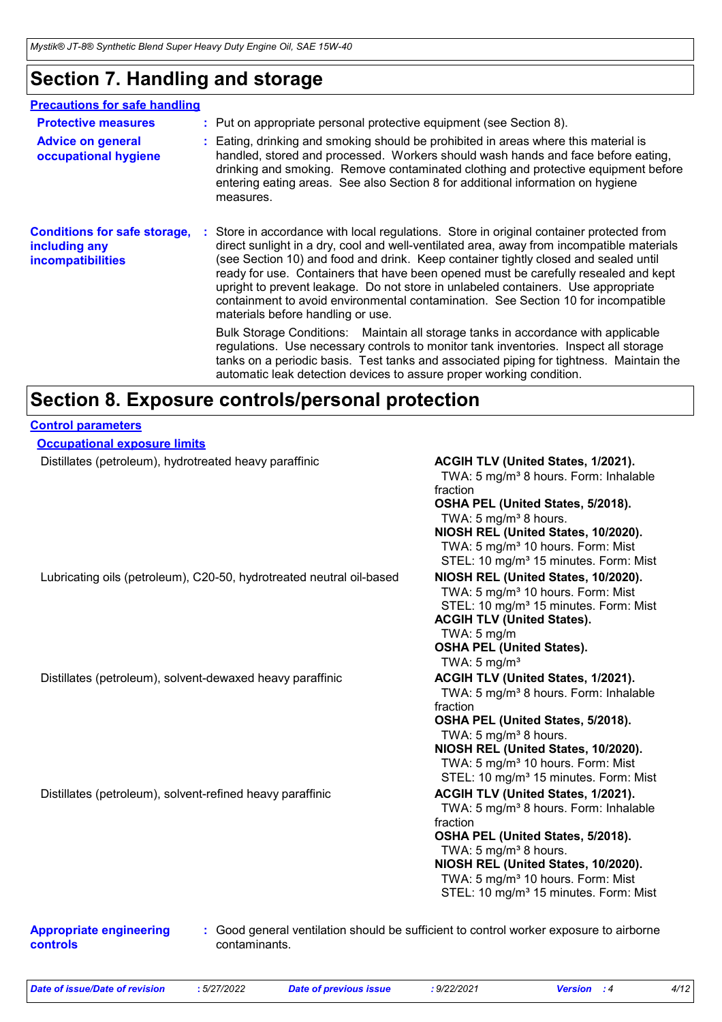## **Section 7. Handling and storage**

| <b>Precautions for safe handling</b>                                             |                                                                                                                                                                                                                                                                                                                                                                                                                                                                                                                                                                                    |
|----------------------------------------------------------------------------------|------------------------------------------------------------------------------------------------------------------------------------------------------------------------------------------------------------------------------------------------------------------------------------------------------------------------------------------------------------------------------------------------------------------------------------------------------------------------------------------------------------------------------------------------------------------------------------|
| <b>Protective measures</b>                                                       | : Put on appropriate personal protective equipment (see Section 8).                                                                                                                                                                                                                                                                                                                                                                                                                                                                                                                |
| <b>Advice on general</b><br>occupational hygiene                                 | : Eating, drinking and smoking should be prohibited in areas where this material is<br>handled, stored and processed. Workers should wash hands and face before eating,<br>drinking and smoking. Remove contaminated clothing and protective equipment before<br>entering eating areas. See also Section 8 for additional information on hygiene<br>measures.                                                                                                                                                                                                                      |
| <b>Conditions for safe storage,</b><br>including any<br><b>incompatibilities</b> | : Store in accordance with local regulations. Store in original container protected from<br>direct sunlight in a dry, cool and well-ventilated area, away from incompatible materials<br>(see Section 10) and food and drink. Keep container tightly closed and sealed until<br>ready for use. Containers that have been opened must be carefully resealed and kept<br>upright to prevent leakage. Do not store in unlabeled containers. Use appropriate<br>containment to avoid environmental contamination. See Section 10 for incompatible<br>materials before handling or use. |
|                                                                                  | Bulk Storage Conditions: Maintain all storage tanks in accordance with applicable<br>regulations. Use necessary controls to monitor tank inventories. Inspect all storage<br>tanks on a periodic basis. Test tanks and associated piping for tightness. Maintain the<br>automatic leak detection devices to assure proper working condition.                                                                                                                                                                                                                                       |

### **Section 8. Exposure controls/personal protection**

#### **Control parameters**

| <b>Occupational exposure limits</b>                                  |                                                                                                                                                                                                                                                                                                                            |
|----------------------------------------------------------------------|----------------------------------------------------------------------------------------------------------------------------------------------------------------------------------------------------------------------------------------------------------------------------------------------------------------------------|
| Distillates (petroleum), hydrotreated heavy paraffinic               | ACGIH TLV (United States, 1/2021).<br>TWA: 5 mg/m <sup>3</sup> 8 hours. Form: Inhalable<br>fraction<br>OSHA PEL (United States, 5/2018).<br>TWA: $5 \text{ mg/m}^3$ 8 hours.<br>NIOSH REL (United States, 10/2020).<br>TWA: 5 mg/m <sup>3</sup> 10 hours. Form: Mist<br>STEL: 10 mg/m <sup>3</sup> 15 minutes. Form: Mist  |
| Lubricating oils (petroleum), C20-50, hydrotreated neutral oil-based | NIOSH REL (United States, 10/2020).<br>TWA: 5 mg/m <sup>3</sup> 10 hours. Form: Mist<br>STEL: 10 mg/m <sup>3</sup> 15 minutes. Form: Mist<br><b>ACGIH TLV (United States).</b><br>TWA: $5 \text{ mg/m}$<br><b>OSHA PEL (United States).</b><br>TWA: $5 \text{ mg/m}^3$                                                     |
| Distillates (petroleum), solvent-dewaxed heavy paraffinic            | ACGIH TLV (United States, 1/2021).<br>TWA: 5 mg/m <sup>3</sup> 8 hours. Form: Inhalable<br>fraction<br>OSHA PEL (United States, 5/2018).<br>TWA: 5 mg/m <sup>3</sup> 8 hours.<br>NIOSH REL (United States, 10/2020).<br>TWA: 5 mg/m <sup>3</sup> 10 hours. Form: Mist<br>STEL: 10 mg/m <sup>3</sup> 15 minutes. Form: Mist |
| Distillates (petroleum), solvent-refined heavy paraffinic            | ACGIH TLV (United States, 1/2021).<br>TWA: 5 mg/m <sup>3</sup> 8 hours. Form: Inhalable<br>fraction<br>OSHA PEL (United States, 5/2018).<br>TWA: 5 mg/m <sup>3</sup> 8 hours.<br>NIOSH REL (United States, 10/2020).<br>TWA: 5 mg/m <sup>3</sup> 10 hours. Form: Mist<br>STEL: 10 mg/m <sup>3</sup> 15 minutes. Form: Mist |

**Appropriate engineering controls**

**:** Good general ventilation should be sufficient to control worker exposure to airborne contaminants.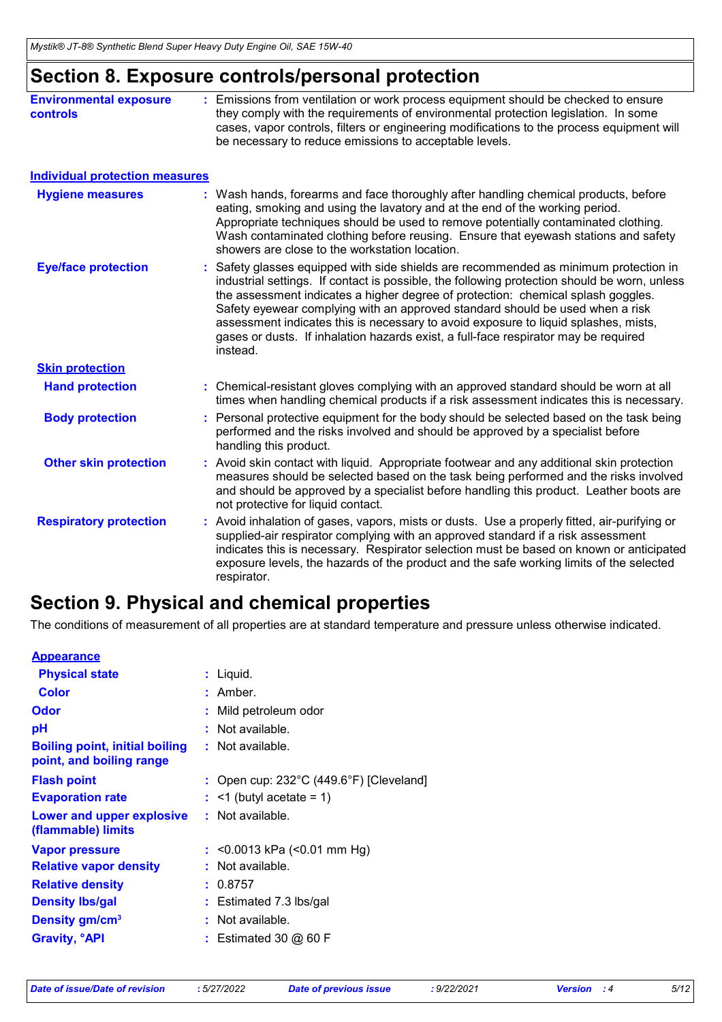## **Section 8. Exposure controls/personal protection**

| <b>Environmental exposure</b><br><b>controls</b> | : Emissions from ventilation or work process equipment should be checked to ensure<br>they comply with the requirements of environmental protection legislation. In some<br>cases, vapor controls, filters or engineering modifications to the process equipment will<br>be necessary to reduce emissions to acceptable levels.                                                                                                                                                                                                                   |
|--------------------------------------------------|---------------------------------------------------------------------------------------------------------------------------------------------------------------------------------------------------------------------------------------------------------------------------------------------------------------------------------------------------------------------------------------------------------------------------------------------------------------------------------------------------------------------------------------------------|
| <b>Individual protection measures</b>            |                                                                                                                                                                                                                                                                                                                                                                                                                                                                                                                                                   |
| <b>Hygiene measures</b>                          | : Wash hands, forearms and face thoroughly after handling chemical products, before<br>eating, smoking and using the lavatory and at the end of the working period.<br>Appropriate techniques should be used to remove potentially contaminated clothing.<br>Wash contaminated clothing before reusing. Ensure that eyewash stations and safety<br>showers are close to the workstation location.                                                                                                                                                 |
| <b>Eye/face protection</b>                       | Safety glasses equipped with side shields are recommended as minimum protection in<br>industrial settings. If contact is possible, the following protection should be worn, unless<br>the assessment indicates a higher degree of protection: chemical splash goggles.<br>Safety eyewear complying with an approved standard should be used when a risk<br>assessment indicates this is necessary to avoid exposure to liquid splashes, mists,<br>gases or dusts. If inhalation hazards exist, a full-face respirator may be required<br>instead. |
| <b>Skin protection</b>                           |                                                                                                                                                                                                                                                                                                                                                                                                                                                                                                                                                   |
| <b>Hand protection</b>                           | : Chemical-resistant gloves complying with an approved standard should be worn at all<br>times when handling chemical products if a risk assessment indicates this is necessary.                                                                                                                                                                                                                                                                                                                                                                  |
| <b>Body protection</b>                           | : Personal protective equipment for the body should be selected based on the task being<br>performed and the risks involved and should be approved by a specialist before<br>handling this product.                                                                                                                                                                                                                                                                                                                                               |
| <b>Other skin protection</b>                     | : Avoid skin contact with liquid. Appropriate footwear and any additional skin protection<br>measures should be selected based on the task being performed and the risks involved<br>and should be approved by a specialist before handling this product. Leather boots are<br>not protective for liquid contact.                                                                                                                                                                                                                                 |
| <b>Respiratory protection</b>                    | : Avoid inhalation of gases, vapors, mists or dusts. Use a properly fitted, air-purifying or<br>supplied-air respirator complying with an approved standard if a risk assessment<br>indicates this is necessary. Respirator selection must be based on known or anticipated<br>exposure levels, the hazards of the product and the safe working limits of the selected<br>respirator.                                                                                                                                                             |

### **Section 9. Physical and chemical properties**

The conditions of measurement of all properties are at standard temperature and pressure unless otherwise indicated.

| $:$ Liquid.                                                  |
|--------------------------------------------------------------|
| $:$ Amber.                                                   |
| : Mild petroleum odor                                        |
| : Not available.                                             |
| : Not available.                                             |
| : Open cup: $232^{\circ}$ C (449.6 $^{\circ}$ F) [Cleveland] |
| $:$ <1 (butyl acetate = 1)                                   |
| : Not available.                                             |
| : < $0.0013$ kPa (< $0.01$ mm Hg)                            |
| : Not available.                                             |
| : 0.8757                                                     |
| $:$ Estimated 7.3 lbs/gal                                    |
| : Not available.                                             |
| $:$ Estimated 30 @ 60 F                                      |
|                                                              |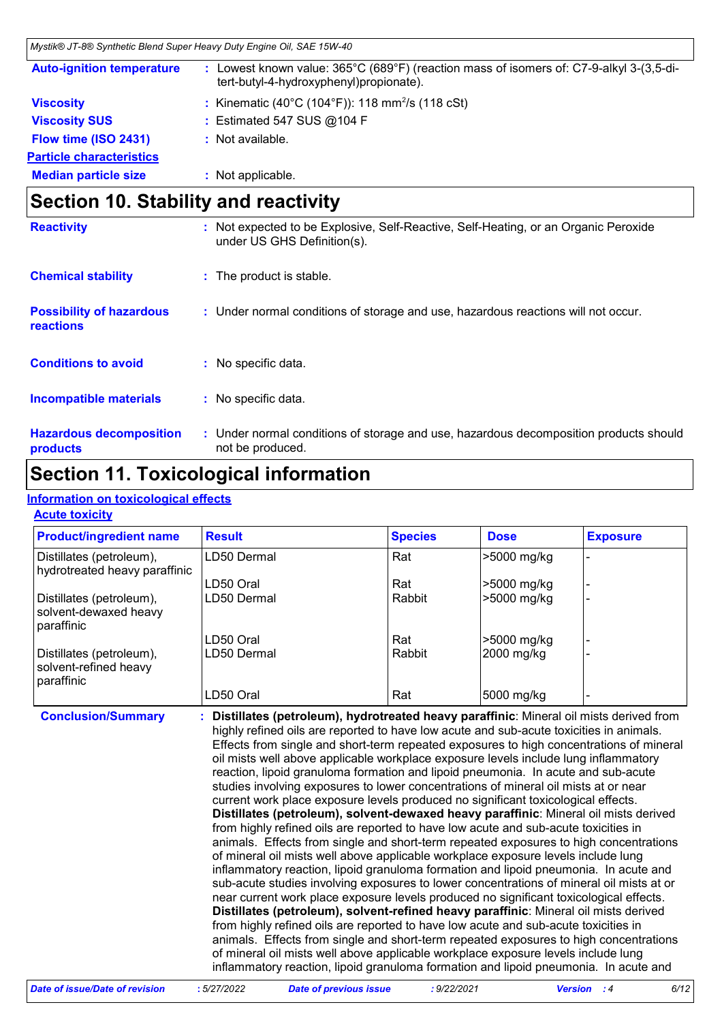| Mystik® JT-8® Synthetic Blend Super Heavy Duty Engine Oil, SAE 15W-40 |                                                                                                                                  |
|-----------------------------------------------------------------------|----------------------------------------------------------------------------------------------------------------------------------|
| <b>Auto-ignition temperature</b>                                      | Lowest known value: 365°C (689°F) (reaction mass of isomers of: C7-9-alkyl 3-(3,5-di-<br>tert-butyl-4-hydroxyphenyl)propionate). |
| <b>Viscosity</b>                                                      | : Kinematic (40°C (104°F)): 118 mm <sup>2</sup> /s (118 cSt)                                                                     |
| <b>Viscosity SUS</b>                                                  | : Estimated 547 SUS $@104$ F                                                                                                     |
| Flow time (ISO 2431)                                                  | : Not available.                                                                                                                 |
| <b>Particle characteristics</b>                                       |                                                                                                                                  |
| <b>Median particle size</b>                                           | : Not applicable.                                                                                                                |

# **Section 10. Stability and reactivity**

| <b>Reactivity</b>                                   | Not expected to be Explosive, Self-Reactive, Self-Heating, or an Organic Peroxide<br>under US GHS Definition(s). |
|-----------------------------------------------------|------------------------------------------------------------------------------------------------------------------|
| <b>Chemical stability</b>                           | : The product is stable.                                                                                         |
| <b>Possibility of hazardous</b><br><b>reactions</b> | : Under normal conditions of storage and use, hazardous reactions will not occur.                                |
| <b>Conditions to avoid</b>                          | : No specific data.                                                                                              |
| <b>Incompatible materials</b>                       | No specific data.<br>t.                                                                                          |
| <b>Hazardous decomposition</b><br>products          | : Under normal conditions of storage and use, hazardous decomposition products should<br>not be produced.        |

### **Section 11. Toxicological information**

#### **Information on toxicological effects**

#### **Acute toxicity**

| <b>Product/ingredient name</b>                                  | <b>Result</b> | <b>Species</b> | <b>Dose</b> | <b>Exposure</b> |
|-----------------------------------------------------------------|---------------|----------------|-------------|-----------------|
| Distillates (petroleum),<br>hydrotreated heavy paraffinic       | LD50 Dermal   | Rat            | >5000 mg/kg |                 |
|                                                                 | LD50 Oral     | Rat            | >5000 mg/kg |                 |
| Distillates (petroleum),<br>solvent-dewaxed heavy<br>paraffinic | LD50 Dermal   | Rabbit         | >5000 mg/kg |                 |
|                                                                 | LD50 Oral     | Rat            | >5000 mg/kg |                 |
| Distillates (petroleum),<br>solvent-refined heavy<br>paraffinic | LD50 Dermal   | Rabbit         | 2000 mg/kg  |                 |
|                                                                 | LD50 Oral     | Rat            | 5000 mg/kg  |                 |

**Conclusion/Summary : Distillates (petroleum), hydrotreated heavy paraffinic**: Mineral oil mists derived from highly refined oils are reported to have low acute and sub-acute toxicities in animals. Effects from single and short-term repeated exposures to high concentrations of mineral oil mists well above applicable workplace exposure levels include lung inflammatory reaction, lipoid granuloma formation and lipoid pneumonia. In acute and sub-acute studies involving exposures to lower concentrations of mineral oil mists at or near current work place exposure levels produced no significant toxicological effects. **Distillates (petroleum), solvent-dewaxed heavy paraffinic**: Mineral oil mists derived from highly refined oils are reported to have low acute and sub-acute toxicities in animals. Effects from single and short-term repeated exposures to high concentrations of mineral oil mists well above applicable workplace exposure levels include lung inflammatory reaction, lipoid granuloma formation and lipoid pneumonia. In acute and sub-acute studies involving exposures to lower concentrations of mineral oil mists at or near current work place exposure levels produced no significant toxicological effects. **Distillates (petroleum), solvent-refined heavy paraffinic**: Mineral oil mists derived from highly refined oils are reported to have low acute and sub-acute toxicities in animals. Effects from single and short-term repeated exposures to high concentrations of mineral oil mists well above applicable workplace exposure levels include lung inflammatory reaction, lipoid granuloma formation and lipoid pneumonia. In acute and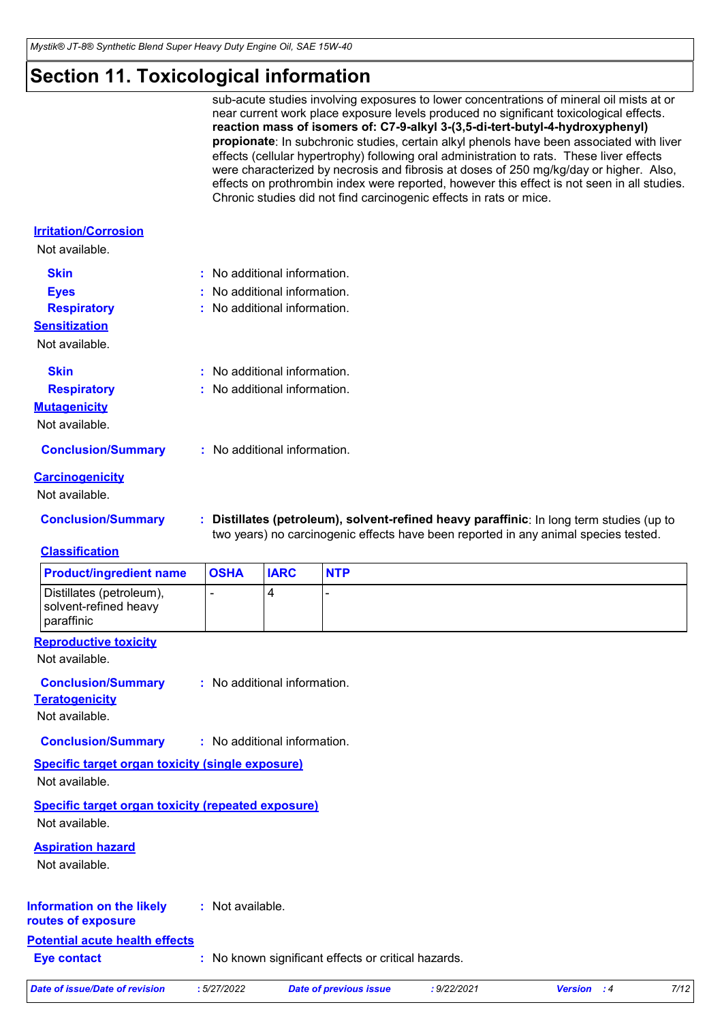### **Section 11. Toxicological information**

| sub-acute studies involving exposures to lower concentrations of mineral oil mists at or    |
|---------------------------------------------------------------------------------------------|
| near current work place exposure levels produced no significant toxicological effects.      |
| reaction mass of isomers of: C7-9-alkyl 3-(3,5-di-tert-butyl-4-hydroxyphenyl)               |
| propionate: In subchronic studies, certain alkyl phenols have been associated with liver    |
| effects (cellular hypertrophy) following oral administration to rats. These liver effects   |
| were characterized by necrosis and fibrosis at doses of 250 mg/kg/day or higher. Also,      |
| effects on prothrombin index were reported, however this effect is not seen in all studies. |
| Chronic studies did not find carcinogenic effects in rats or mice.                          |

In long term studies (up to

#### **Irritation/Corrosion**

| Not available.            |                                                                                                                                                                              |
|---------------------------|------------------------------------------------------------------------------------------------------------------------------------------------------------------------------|
| <b>Skin</b>               | : No additional information.                                                                                                                                                 |
| <b>Eyes</b>               | $:$ No additional information.                                                                                                                                               |
| <b>Respiratory</b>        | : No additional information.                                                                                                                                                 |
| <b>Sensitization</b>      |                                                                                                                                                                              |
| Not available.            |                                                                                                                                                                              |
| <b>Skin</b>               | $:$ No additional information.                                                                                                                                               |
| <b>Respiratory</b>        | $:$ No additional information.                                                                                                                                               |
| <b>Mutagenicity</b>       |                                                                                                                                                                              |
| Not available.            |                                                                                                                                                                              |
| <b>Conclusion/Summary</b> | : No additional information.                                                                                                                                                 |
| <b>Carcinogenicity</b>    |                                                                                                                                                                              |
| Not available.            |                                                                                                                                                                              |
| <b>Conclusion/Summary</b> | : Distillates (petroleum), solvent-refined heavy paraffinic: In long term studies (up<br>two years) no carcinogenic effects have been reported in any animal species tested. |
| <b>Classification</b>     |                                                                                                                                                                              |

| <b>Product/ingredient name</b>                                  | <b>OSHA</b> | <b>IARC</b> | <b>NTP</b> |
|-----------------------------------------------------------------|-------------|-------------|------------|
| Distillates (petroleum),<br>solvent-refined heavy<br>paraffinic |             |             |            |

#### **Reproductive toxicity**

Not available.

#### : No additional information. **Conclusion/Summary :**

**Teratogenicity** Not available.

**Conclusion/Summary :** No additional information.

### **Specific target organ toxicity (single exposure)**

Not available.

**Specific target organ toxicity (repeated exposure)** Not available.

#### **Aspiration hazard**

Not available.

#### **Information on the likely routes of exposure :** Not available.

### **Potential acute health effects**

**Eye contact :** No known significant effects or critical hazards.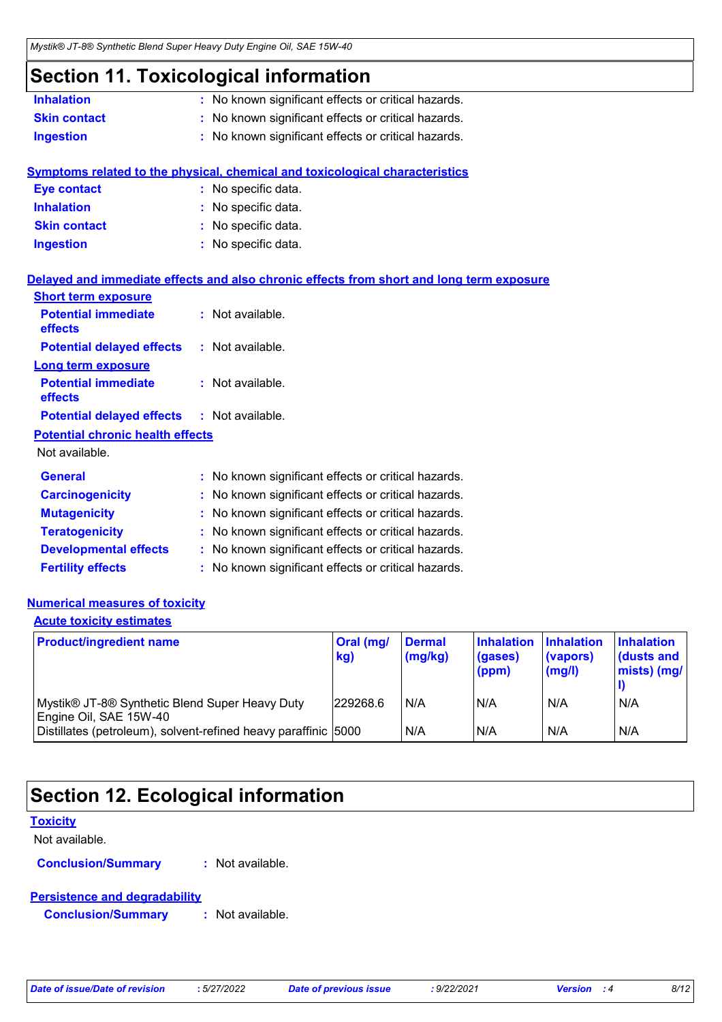### **Section 11. Toxicological information**

| <b>Inhalation</b>                       | : No known significant effects or critical hazards.                                      |
|-----------------------------------------|------------------------------------------------------------------------------------------|
| <b>Skin contact</b>                     | : No known significant effects or critical hazards.                                      |
| <b>Ingestion</b>                        | : No known significant effects or critical hazards.                                      |
|                                         | Symptoms related to the physical, chemical and toxicological characteristics             |
| <b>Eye contact</b>                      | : No specific data.                                                                      |
| <b>Inhalation</b>                       | : No specific data.                                                                      |
| <b>Skin contact</b>                     | : No specific data.                                                                      |
| <b>Ingestion</b>                        | : No specific data.                                                                      |
|                                         | Delayed and immediate effects and also chronic effects from short and long term exposure |
| <b>Short term exposure</b>              |                                                                                          |
| <b>Potential immediate</b><br>effects   | : Not available.                                                                         |
| <b>Potential delayed effects</b>        | : Not available.                                                                         |
| <b>Long term exposure</b>               |                                                                                          |
| <b>Potential immediate</b><br>effects   | : Not available.                                                                         |
| <b>Potential delayed effects</b>        | : Not available.                                                                         |
| <b>Potential chronic health effects</b> |                                                                                          |
| Not available.                          |                                                                                          |
| <b>General</b>                          | : No known significant effects or critical hazards.                                      |
| <b>Carcinogenicity</b>                  | : No known significant effects or critical hazards.                                      |
| <b>Mutagenicity</b>                     | : No known significant effects or critical hazards.                                      |
| <b>Teratogenicity</b>                   | : No known significant effects or critical hazards.                                      |
| <b>Developmental effects</b>            | : No known significant effects or critical hazards.                                      |
| <b>Fertility effects</b>                | : No known significant effects or critical hazards.                                      |

#### **Numerical measures of toxicity**

#### **Acute toxicity estimates**

| <b>Product/ingredient name</b>                                           | Oral (mg/<br>kg) | <b>Dermal</b><br>(mg/kg) | <b>Inhalation</b><br>(gases)<br>(ppm) | <b>Inhalation</b><br>(vapors)<br>(mg/l) | <b>Inhalation</b><br>dusts and<br>mists) (mg/ |
|--------------------------------------------------------------------------|------------------|--------------------------|---------------------------------------|-----------------------------------------|-----------------------------------------------|
| Mystik® JT-8® Synthetic Blend Super Heavy Duty<br>Engine Oil, SAE 15W-40 | 229268.6         | N/A                      | N/A                                   | N/A                                     | N/A                                           |
| Distillates (petroleum), solvent-refined heavy paraffinic 5000           |                  | N/A                      | N/A                                   | N/A                                     | N/A                                           |

### **Section 12. Ecological information**

#### **Toxicity**

Not available.

**Conclusion/Summary :** Not available.

#### **Persistence and degradability**

**Conclusion/Summary :** Not available.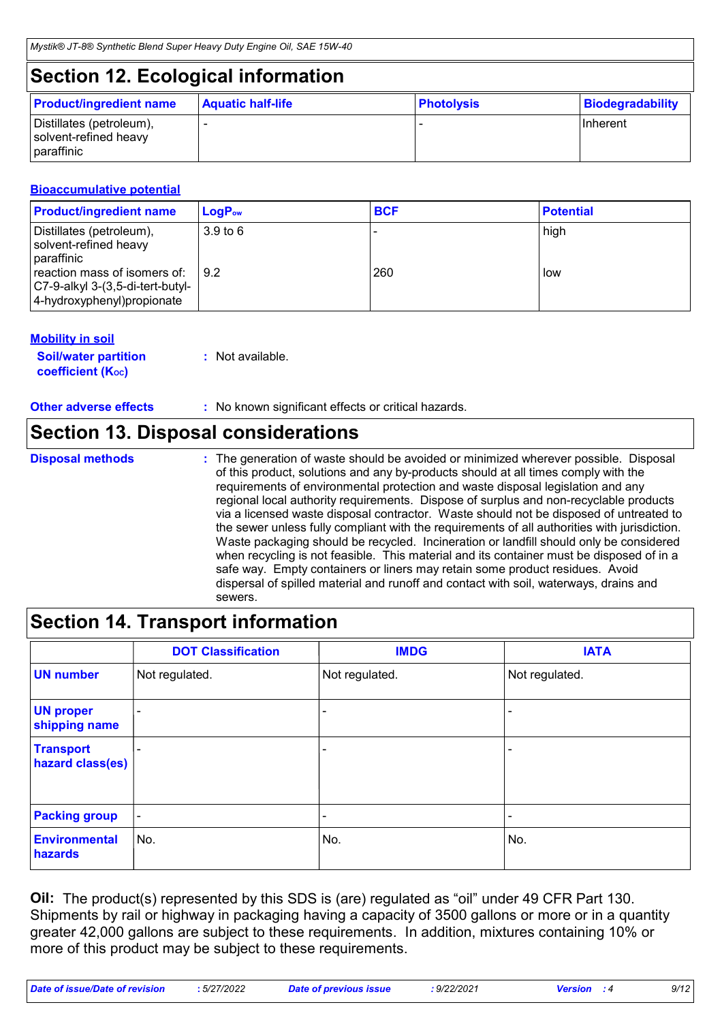### **Section 12. Ecological information**

| <b>Product/ingredient name</b>                                  | <b>Aquatic half-life</b> | <b>Photolysis</b> | <b>Biodegradability</b> |
|-----------------------------------------------------------------|--------------------------|-------------------|-------------------------|
| Distillates (petroleum),<br>solvent-refined heavy<br>paraffinic |                          |                   | <b>Ilnherent</b>        |

#### **Bioaccumulative potential**

| <b>Product/ingredient name</b>                                                                 | $LogPow$            | <b>BCF</b> | <b>Potential</b> |
|------------------------------------------------------------------------------------------------|---------------------|------------|------------------|
| Distillates (petroleum),<br>solvent-refined heavy<br>paraffinic                                | 3.9 <sub>to</sub> 6 |            | high             |
| reaction mass of isomers of:<br>C7-9-alkyl 3-(3,5-di-tert-butyl-<br>4-hydroxyphenyl)propionate | $\sqrt{9.2}$        | 260        | low              |

#### **Mobility in soil**

| <b>Soil/water partition</b> | : Not available. |
|-----------------------------|------------------|
| <b>coefficient (Koc)</b>    |                  |

**Other adverse effects** : No known significant effects or critical hazards.

### **Section 13. Disposal considerations**

### **Disposal methods :**

The generation of waste should be avoided or minimized wherever possible. Disposal of this product, solutions and any by-products should at all times comply with the requirements of environmental protection and waste disposal legislation and any regional local authority requirements. Dispose of surplus and non-recyclable products via a licensed waste disposal contractor. Waste should not be disposed of untreated to the sewer unless fully compliant with the requirements of all authorities with jurisdiction. Waste packaging should be recycled. Incineration or landfill should only be considered when recycling is not feasible. This material and its container must be disposed of in a safe way. Empty containers or liners may retain some product residues. Avoid dispersal of spilled material and runoff and contact with soil, waterways, drains and sewers.

### **Section 14. Transport information**

|                                      | <b>DOT Classification</b> | <b>IMDG</b>    | <b>IATA</b>    |
|--------------------------------------|---------------------------|----------------|----------------|
| <b>UN number</b>                     | Not regulated.            | Not regulated. | Not regulated. |
| <b>UN proper</b><br>shipping name    |                           |                | -              |
| <b>Transport</b><br>hazard class(es) |                           |                | ٠              |
| <b>Packing group</b>                 | $\overline{\phantom{a}}$  |                | $\blacksquare$ |
| <b>Environmental</b><br>hazards      | No.                       | No.            | No.            |

**Oil:** The product(s) represented by this SDS is (are) regulated as "oil" under 49 CFR Part 130. Shipments by rail or highway in packaging having a capacity of 3500 gallons or more or in a quantity greater 42,000 gallons are subject to these requirements. In addition, mixtures containing 10% or more of this product may be subject to these requirements.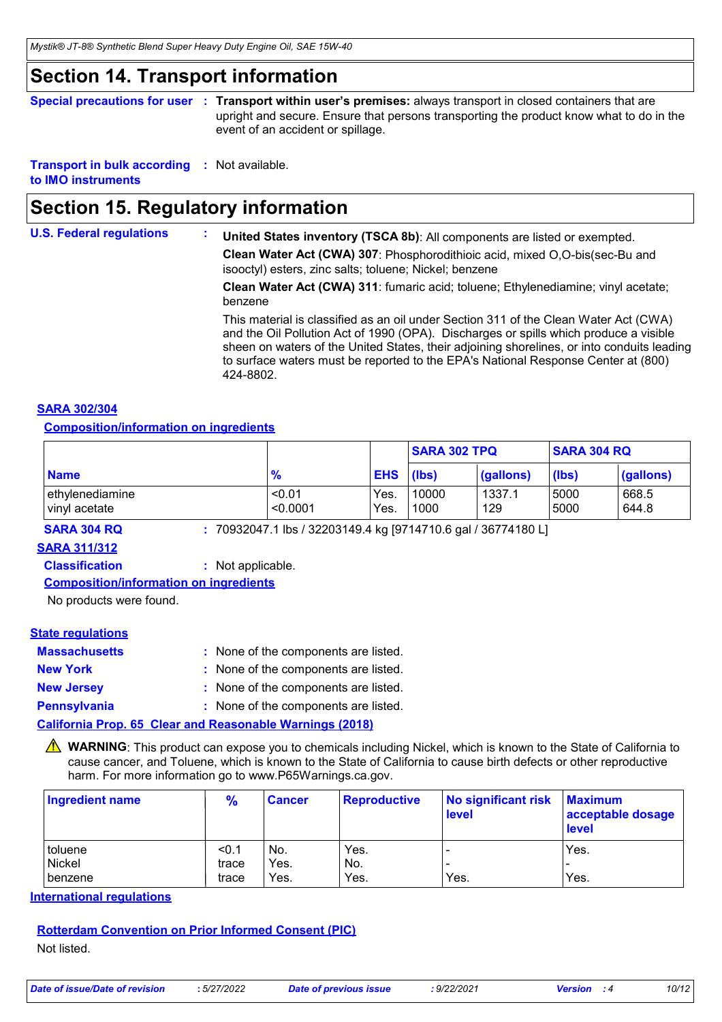### **Section 14. Transport information**

**Special precautions for user Transport within user's premises:** always transport in closed containers that are **:** upright and secure. Ensure that persons transporting the product know what to do in the event of an accident or spillage.

**Transport in bulk according :** Not available. **to IMO instruments**

### **Section 15. Regulatory information**

| <b>U.S. Federal regulations</b> | United States inventory (TSCA 8b): All components are listed or exempted.<br>Clean Water Act (CWA) 307: Phosphorodithioic acid, mixed O,O-bis(sec-Bu and<br>isooctyl) esters, zinc salts; toluene; Nickel; benzene                                                                                                                                                            |
|---------------------------------|-------------------------------------------------------------------------------------------------------------------------------------------------------------------------------------------------------------------------------------------------------------------------------------------------------------------------------------------------------------------------------|
|                                 | Clean Water Act (CWA) 311: fumaric acid; toluene; Ethylenediamine; vinyl acetate;<br>benzene                                                                                                                                                                                                                                                                                  |
|                                 | This material is classified as an oil under Section 311 of the Clean Water Act (CWA)<br>and the Oil Pollution Act of 1990 (OPA). Discharges or spills which produce a visible<br>sheen on waters of the United States, their adjoining shorelines, or into conduits leading<br>to surface waters must be reported to the EPA's National Response Center at (800)<br>424-8802. |

#### **SARA 302/304**

#### **Composition/information on ingredients**

|                                   |                    |              | <b>SARA 302 TPQ</b><br><b>SARA 304 RQ</b> |               |              |                |
|-----------------------------------|--------------------|--------------|-------------------------------------------|---------------|--------------|----------------|
| <b>Name</b>                       | $\frac{9}{6}$      | $EHS$ (lbs)  |                                           | (gallons)     | (lbs)        | (gallons)      |
| lethvlenediamine<br>vinyl acetate | < 0.01<br>< 0.0001 | Yes.<br>Yes. | 10000<br>1000                             | 1337.1<br>129 | 5000<br>5000 | 668.5<br>644.8 |

**SARA 304 RQ :** 70932047.1 lbs / 32203149.4 kg [9714710.6 gal / 36774180 L]

#### **SARA 311/312**

**Classification :** Not applicable.

#### **Composition/information on ingredients**

No products were found.

#### **State regulations**

| <b>Massachusetts</b> | : None of the components are listed. |
|----------------------|--------------------------------------|
| <b>New York</b>      | : None of the components are listed. |
| <b>New Jersey</b>    | : None of the components are listed. |
| <b>Pennsylvania</b>  | : None of the components are listed. |

**California Prop. 65 Clear and Reasonable Warnings (2018)**

**A** WARNING: This product can expose you to chemicals including Nickel, which is known to the State of California to cause cancer, and Toluene, which is known to the State of California to cause birth defects or other reproductive harm. For more information go to www.P65Warnings.ca.gov.

| Ingredient name | $\frac{9}{6}$ | <b>Cancer</b> | <b>Reproductive</b> | No significant risk Maximum<br>level | acceptable dosage<br>level |
|-----------------|---------------|---------------|---------------------|--------------------------------------|----------------------------|
| toluene         | < 0.1         | No.           | Yes.                |                                      | Yes.                       |
| Nickel          | trace         | Yes.          | No.                 | $\overline{\phantom{0}}$             |                            |
| benzene         | trace         | Yes.          | Yes.                | Yes.                                 | Yes.                       |

**International regulations**

### **Rotterdam Convention on Prior Informed Consent (PIC)**

Not listed.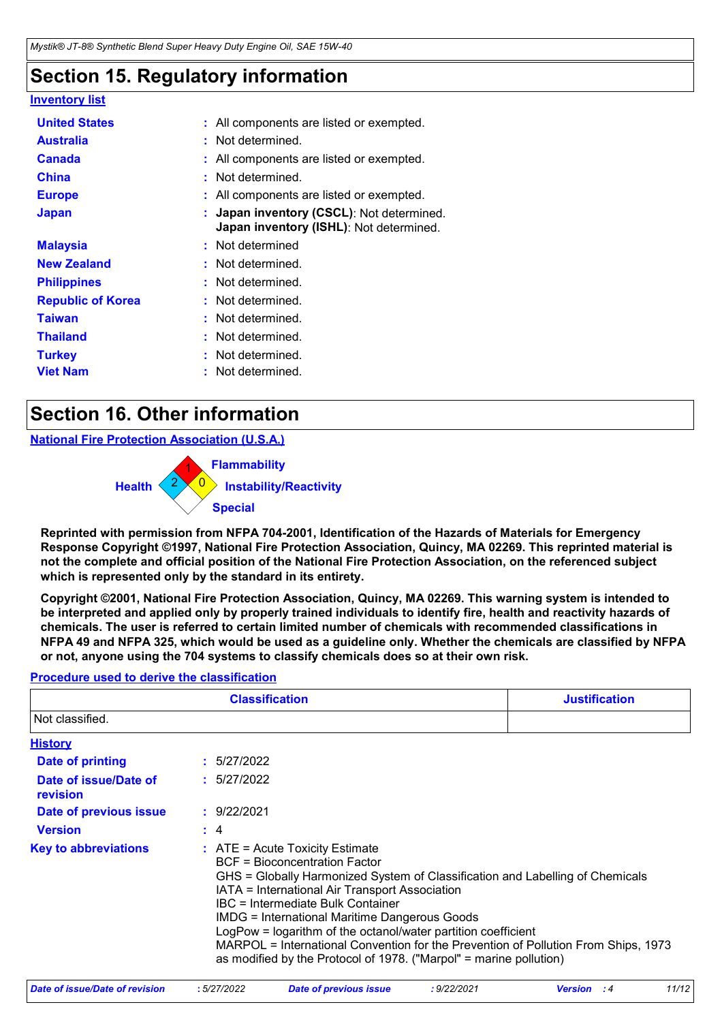## **Section 15. Regulatory information**

| Inventory list           |                                                                                              |  |
|--------------------------|----------------------------------------------------------------------------------------------|--|
| <b>United States</b>     | : All components are listed or exempted.                                                     |  |
| <b>Australia</b>         | : Not determined.                                                                            |  |
| <b>Canada</b>            | : All components are listed or exempted.                                                     |  |
| <b>China</b>             | : Not determined.                                                                            |  |
| <b>Europe</b>            | : All components are listed or exempted.                                                     |  |
| <b>Japan</b>             | : Japan inventory (CSCL): Not determined.<br><b>Japan inventory (ISHL)</b> : Not determined. |  |
| <b>Malaysia</b>          | : Not determined                                                                             |  |
| <b>New Zealand</b>       | : Not determined.                                                                            |  |
| <b>Philippines</b>       | : Not determined.                                                                            |  |
| <b>Republic of Korea</b> | : Not determined.                                                                            |  |
| <b>Taiwan</b>            | : Not determined.                                                                            |  |
| <b>Thailand</b>          | : Not determined.                                                                            |  |
| <b>Turkey</b>            | : Not determined.                                                                            |  |
| <b>Viet Nam</b>          | : Not determined.                                                                            |  |

### **Section 16. Other information**

#### **National Fire Protection Association (U.S.A.)**



**Reprinted with permission from NFPA 704-2001, Identification of the Hazards of Materials for Emergency Response Copyright ©1997, National Fire Protection Association, Quincy, MA 02269. This reprinted material is not the complete and official position of the National Fire Protection Association, on the referenced subject which is represented only by the standard in its entirety.**

**Copyright ©2001, National Fire Protection Association, Quincy, MA 02269. This warning system is intended to be interpreted and applied only by properly trained individuals to identify fire, health and reactivity hazards of chemicals. The user is referred to certain limited number of chemicals with recommended classifications in NFPA 49 and NFPA 325, which would be used as a guideline only. Whether the chemicals are classified by NFPA or not, anyone using the 704 systems to classify chemicals does so at their own risk.**

#### **Procedure used to derive the classification**

|                                   | <b>Classification</b>                                                                                                                                                                                                                                                                                                                                                                                                                                                                                                                           | <b>Justification</b> |
|-----------------------------------|-------------------------------------------------------------------------------------------------------------------------------------------------------------------------------------------------------------------------------------------------------------------------------------------------------------------------------------------------------------------------------------------------------------------------------------------------------------------------------------------------------------------------------------------------|----------------------|
| Not classified.                   |                                                                                                                                                                                                                                                                                                                                                                                                                                                                                                                                                 |                      |
| <b>History</b>                    |                                                                                                                                                                                                                                                                                                                                                                                                                                                                                                                                                 |                      |
| Date of printing                  | : 5/27/2022                                                                                                                                                                                                                                                                                                                                                                                                                                                                                                                                     |                      |
| Date of issue/Date of<br>revision | : 5/27/2022                                                                                                                                                                                                                                                                                                                                                                                                                                                                                                                                     |                      |
| Date of previous issue            | : 9/22/2021                                                                                                                                                                                                                                                                                                                                                                                                                                                                                                                                     |                      |
| <b>Version</b>                    | $\div$ 4                                                                                                                                                                                                                                                                                                                                                                                                                                                                                                                                        |                      |
| <b>Key to abbreviations</b>       | $\therefore$ ATE = Acute Toxicity Estimate<br><b>BCF</b> = Bioconcentration Factor<br>GHS = Globally Harmonized System of Classification and Labelling of Chemicals<br>IATA = International Air Transport Association<br>IBC = Intermediate Bulk Container<br><b>IMDG = International Maritime Dangerous Goods</b><br>LogPow = logarithm of the octanol/water partition coefficient<br>MARPOL = International Convention for the Prevention of Pollution From Ships, 1973<br>as modified by the Protocol of 1978. ("Marpol" = marine pollution) |                      |

| Date of issue/Date of revision | 5/27/2022 | Date of previous issue | 9/22/2021 | <b>Version</b> | 11/12 |
|--------------------------------|-----------|------------------------|-----------|----------------|-------|
|--------------------------------|-----------|------------------------|-----------|----------------|-------|